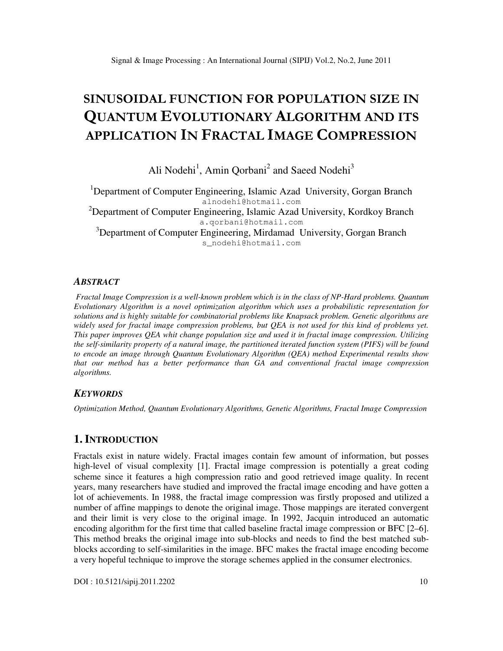# SINUSOIDAL FUNCTION FOR POPULATION SIZE IN QUANTUM EVOLUTIONARY ALGORITHM AND ITS APPLICATION IN FRACTAL IMAGE COMPRESSION

Ali Nodehi<sup>1</sup>, Amin Qorbani<sup>2</sup> and Saeed Nodehi<sup>3</sup>

<sup>1</sup>Department of Computer Engineering, Islamic Azad University, Gorgan Branch alnodehi@hotmail.com  ${}^{2}$ Department of Computer Engineering, Islamic Azad University, Kordkoy Branch a.qorbani@hotmail.com <sup>3</sup>Department of Computer Engineering, Mirdamad University, Gorgan Branch s\_nodehi@hotmail.com

#### *ABSTRACT*

 *Fractal Image Compression is a well-known problem which is in the class of NP-Hard problems. Quantum Evolutionary Algorithm is a novel optimization algorithm which uses a probabilistic representation for solutions and is highly suitable for combinatorial problems like Knapsack problem. Genetic algorithms are widely used for fractal image compression problems, but QEA is not used for this kind of problems yet. This paper improves QEA whit change population size and used it in fractal image compression. Utilizing the self-similarity property of a natural image, the partitioned iterated function system (PIFS) will be found to encode an image through Quantum Evolutionary Algorithm (QEA) method Experimental results show that our method has a better performance than GA and conventional fractal image compression algorithms.* 

#### *KEYWORDS*

*Optimization Method, Quantum Evolutionary Algorithms, Genetic Algorithms, Fractal Image Compression* 

### **1. INTRODUCTION**

Fractals exist in nature widely. Fractal images contain few amount of information, but posses high-level of visual complexity [1]. Fractal image compression is potentially a great coding scheme since it features a high compression ratio and good retrieved image quality. In recent years, many researchers have studied and improved the fractal image encoding and have gotten a lot of achievements. In 1988, the fractal image compression was firstly proposed and utilized a number of affine mappings to denote the original image. Those mappings are iterated convergent and their limit is very close to the original image. In 1992, Jacquin introduced an automatic encoding algorithm for the first time that called baseline fractal image compression or BFC [2–6]. This method breaks the original image into sub-blocks and needs to find the best matched subblocks according to self-similarities in the image. BFC makes the fractal image encoding become a very hopeful technique to improve the storage schemes applied in the consumer electronics.

DOI : 10.5121/sipij.2011.2202 10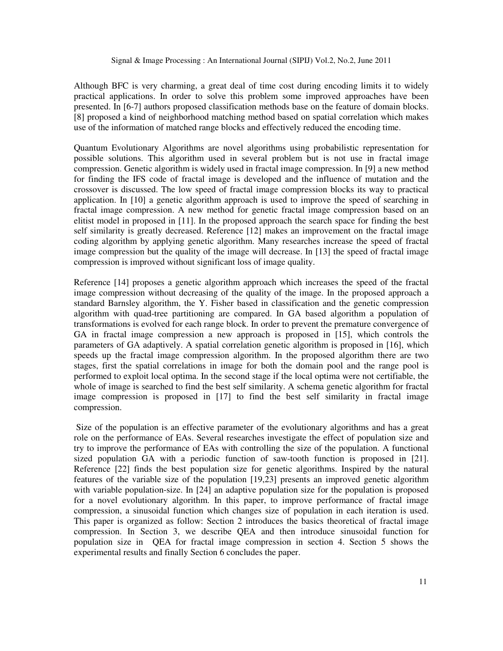Although BFC is very charming, a great deal of time cost during encoding limits it to widely practical applications. In order to solve this problem some improved approaches have been presented. In [6-7] authors proposed classification methods base on the feature of domain blocks. [8] proposed a kind of neighborhood matching method based on spatial correlation which makes use of the information of matched range blocks and effectively reduced the encoding time.

Quantum Evolutionary Algorithms are novel algorithms using probabilistic representation for possible solutions. This algorithm used in several problem but is not use in fractal image compression. Genetic algorithm is widely used in fractal image compression. In [9] a new method for finding the IFS code of fractal image is developed and the influence of mutation and the crossover is discussed. The low speed of fractal image compression blocks its way to practical application. In [10] a genetic algorithm approach is used to improve the speed of searching in fractal image compression. A new method for genetic fractal image compression based on an elitist model in proposed in [11]. In the proposed approach the search space for finding the best self similarity is greatly decreased. Reference [12] makes an improvement on the fractal image coding algorithm by applying genetic algorithm. Many researches increase the speed of fractal image compression but the quality of the image will decrease. In [13] the speed of fractal image compression is improved without significant loss of image quality.

Reference [14] proposes a genetic algorithm approach which increases the speed of the fractal image compression without decreasing of the quality of the image. In the proposed approach a standard Barnsley algorithm, the Y. Fisher based in classification and the genetic compression algorithm with quad-tree partitioning are compared. In GA based algorithm a population of transformations is evolved for each range block. In order to prevent the premature convergence of GA in fractal image compression a new approach is proposed in [15], which controls the parameters of GA adaptively. A spatial correlation genetic algorithm is proposed in [16], which speeds up the fractal image compression algorithm. In the proposed algorithm there are two stages, first the spatial correlations in image for both the domain pool and the range pool is performed to exploit local optima. In the second stage if the local optima were not certifiable, the whole of image is searched to find the best self similarity. A schema genetic algorithm for fractal image compression is proposed in [17] to find the best self similarity in fractal image compression.

 Size of the population is an effective parameter of the evolutionary algorithms and has a great role on the performance of EAs. Several researches investigate the effect of population size and try to improve the performance of EAs with controlling the size of the population. A functional sized population GA with a periodic function of saw-tooth function is proposed in [21]. Reference [22] finds the best population size for genetic algorithms. Inspired by the natural features of the variable size of the population [19,23] presents an improved genetic algorithm with variable population-size. In [24] an adaptive population size for the population is proposed for a novel evolutionary algorithm. In this paper, to improve performance of fractal image compression, a sinusoidal function which changes size of population in each iteration is used. This paper is organized as follow: Section 2 introduces the basics theoretical of fractal image compression. In Section 3, we describe QEA and then introduce sinusoidal function for population size in QEA for fractal image compression in section 4. Section 5 shows the experimental results and finally Section 6 concludes the paper.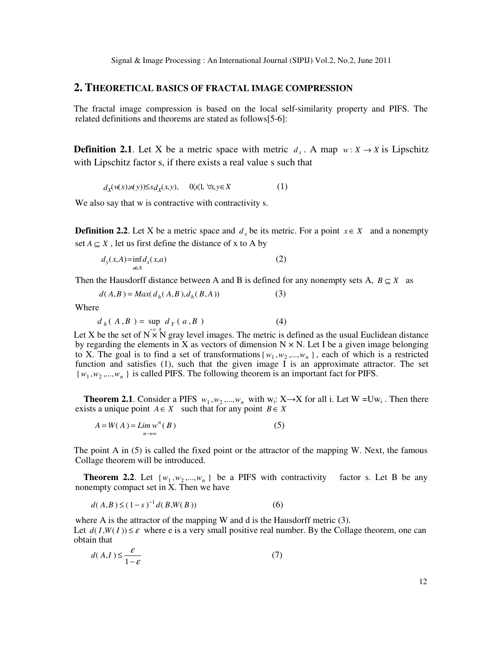#### **2. THEORETICAL BASICS OF FRACTAL IMAGE COMPRESSION**

The fractal image compression is based on the local self-similarity property and PIFS. The related definitions and theorems are stated as follows[5-6]:

**Definition 2.1**. Let X be a metric space with metric  $d_x$ . A map  $w: X \to X$  is Lipschitz with Lipschitz factor s, if there exists a real value s such that

$$
d_{\mathcal{X}}(\mathfrak{u}(x), \mathfrak{u}(y)) \leq s d_{\mathcal{X}}(x, y), \quad \mathfrak{A}(\mathfrak{X}) \forall x, y \in X \tag{1}
$$

We also say that w is contractive with contractivity s.

**Definition 2.2**. Let X be a metric space and  $d_x$  be its metric. For a point  $x \in X$  and a nonempty set  $A \subset X$ , let us first define the distance of x to A by

$$
d_{y}(x,A) = \inf_{a \in A} d_{x}(x,a)
$$
 (2)

Then the Hausdorff distance between A and B is defined for any nonempty sets A,  $B \subseteq X$  as

$$
d(A,B) = Max(d_h(A,B), d_h(B,A))
$$
 (3)

Where

$$
d_h(A, B) = \sup d_Y(a, B) \tag{4}
$$

Let X be the set of  $N \times N$  gray level images. The metric is defined as the usual Euclidean distance by regarding the elements in X as vectors of dimension  $N \times N$ . Let I be a given image belonging to X. The goal is to find a set of transformations  $\{w_1, w_2, ..., w_n\}$ , each of which is a restricted function and satisfies (1), such that the given image  $\overline{I}$  is an approximate attractor. The set  $\{w_1, w_2, \ldots, w_n\}$  is called PIFS. The following theorem is an important fact for PIFS.

**Theorem 2.1.** Consider a PIFS  $w_1, w_2, ..., w_n$  with  $w_i: X \rightarrow X$  for all i. Let  $W = Uw_i$ . Then there exists a unique point  $A \in X$  such that for any point  $B \in X$ 

$$
A = W(A) = \lim_{n \to \infty} w^n(B)
$$
 (5)

The point A in (5) is called the fixed point or the attractor of the mapping W. Next, the famous Collage theorem will be introduced.

**Theorem 2.2.** Let  $\{w_1, w_2, ..., w_n\}$  be a PIFS with contractivity factor s. Let B be any nonempty compact set in X. Then we have

$$
d(A,B) \le (1-s)^{-1} d(B,W(B))
$$
 (6)

where A is the attractor of the mapping W and d is the Hausdorff metric (3). Let  $d(I, W(I)) \leq \varepsilon$  where e is a very small positive real number. By the Collage theorem, one can obtain that

$$
d(A,I) \le \frac{\varepsilon}{1-\varepsilon} \tag{7}
$$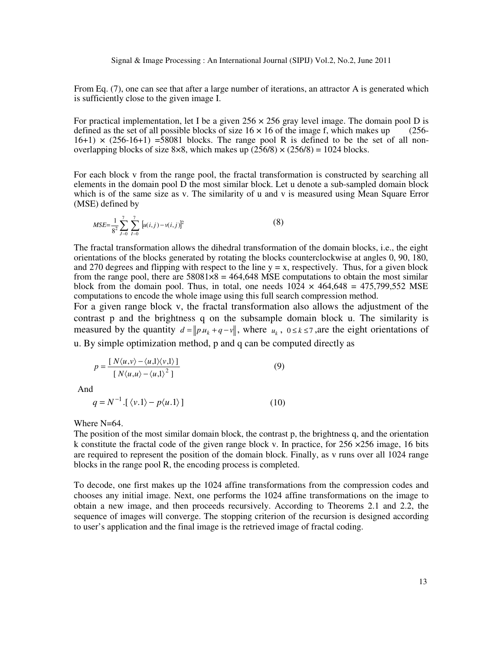From Eq. (7), one can see that after a large number of iterations, an attractor A is generated which is sufficiently close to the given image I.

For practical implementation, let I be a given  $256 \times 256$  gray level image. The domain pool D is defined as the set of all possible blocks of size  $16 \times 16$  of the image f, which makes up (256defined as the set of all possible blocks of size  $16 \times 16$  of the image f, which makes up  $16+1) \times (256-16+1) = 58081$  blocks. The range pool R is defined to be the set of all nonoverlapping blocks of size 8×8, which makes up  $(256/8) \times (256/8) = 1024$  blocks.

For each block v from the range pool, the fractal transformation is constructed by searching all elements in the domain pool D the most similar block. Let u denote a sub-sampled domain block which is of the same size as v. The similarity of u and v is measured using Mean Square Error (MSE) defined by

$$
MSE = \frac{1}{8^2} \sum_{j=0}^{7} \sum_{l=0}^{7} [u(i,j) - v(i,j)]^2
$$
 (8)

The fractal transformation allows the dihedral transformation of the domain blocks, i.e., the eight orientations of the blocks generated by rotating the blocks counterclockwise at angles 0, 90, 180, and 270 degrees and flipping with respect to the line  $y = x$ , respectively. Thus, for a given block from the range pool, there are  $58081\times8 = 464.648$  MSE computations to obtain the most similar block from the domain pool. Thus, in total, one needs  $1024 \times 464,648 = 475,799,552$  MSE computations to encode the whole image using this full search compression method.

For a given range block v, the fractal transformation also allows the adjustment of the contrast p and the brightness q on the subsample domain block u. The similarity is measured by the quantity  $d = ||pu_k + q - v||$ , where  $u_k$ ,  $0 \le k \le 7$ , are the eight orientations of u. By simple optimization method, p and q can be computed directly as

$$
p = \frac{[N\langle u, v \rangle - \langle u, 1 \rangle \langle v, 1 \rangle]}{[N\langle u, u \rangle - \langle u, 1 \rangle^2]}
$$
(9)

And

 $q = N^{-1} \cdot [\langle v.1 \rangle - p \langle u.1 \rangle]$  (10)

Where N=64.

The position of the most similar domain block, the contrast p, the brightness q, and the orientation k constitute the fractal code of the given range block v. In practice, for  $256 \times 256$  image, 16 bits are required to represent the position of the domain block. Finally, as v runs over all 1024 range blocks in the range pool R, the encoding process is completed.

To decode, one first makes up the 1024 affine transformations from the compression codes and chooses any initial image. Next, one performs the 1024 affine transformations on the image to obtain a new image, and then proceeds recursively. According to Theorems 2.1 and 2.2, the sequence of images will converge. The stopping criterion of the recursion is designed according to user's application and the final image is the retrieved image of fractal coding.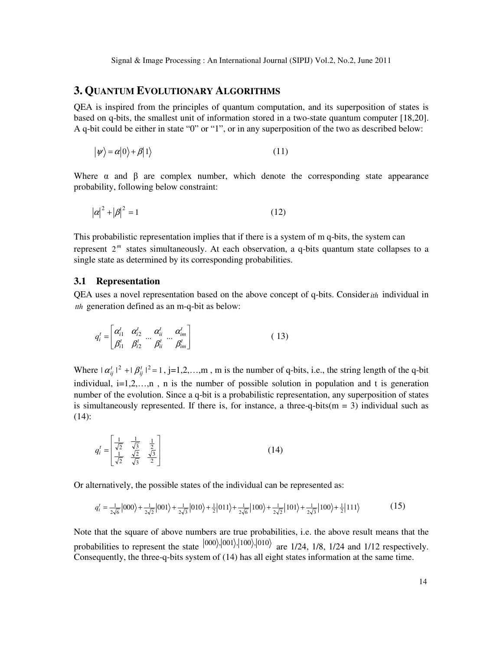## **3. QUANTUM EVOLUTIONARY ALGORITHMS**

QEA is inspired from the principles of quantum computation, and its superposition of states is based on q-bits, the smallest unit of information stored in a two-state quantum computer [18,20]. A q-bit could be either in state "0" or "1", or in any superposition of the two as described below:

$$
|\psi\rangle = \alpha|0\rangle + \beta|1\rangle \tag{11}
$$

Where  $\alpha$  and  $\beta$  are complex number, which denote the corresponding state appearance probability, following below constraint:

$$
|\alpha|^2 + |\beta|^2 = 1
$$
 (12)

This probabilistic representation implies that if there is a system of m q-bits, the system can represent  $2^m$  states simultaneously. At each observation, a q-bits quantum state collapses to a single state as determined by its corresponding probabilities.

#### **3.1 Representation**

QEA uses a novel representation based on the above concept of q-bits. Consider*ith* individual in *tth* generation defined as an m-q-bit as below:

$$
q_i^t = \begin{bmatrix} \alpha_{i1}^t & \alpha_{i2}^t & \alpha_{ii}^t & \alpha_{iii}^t \\ \beta_{i1}^t & \beta_{i2}^t & \beta_{ii}^t & \beta_{im}^t \end{bmatrix}
$$
 (13)

Where  $|\alpha_{ij}^t|^2 + |\beta_{ij}^t|^2 = 1$ , j=1,2,…,m, m is the number of q-bits, i.e., the string length of the q-bit individual,  $i=1,2,...,n$ , n is the number of possible solution in population and t is generation number of the evolution. Since a q-bit is a probabilistic representation, any superposition of states is simultaneously represented. If there is, for instance, a three-q-bits( $m = 3$ ) individual such as  $(14)$ :

$$
q_i^t = \begin{bmatrix} \frac{1}{\sqrt{2}} & \frac{1}{\sqrt{3}} & \frac{1}{2} \\ \frac{1}{\sqrt{2}} & \frac{\sqrt{2}}{\sqrt{3}} & \frac{\sqrt{3}}{2} \end{bmatrix}
$$
 (14)

Or alternatively, the possible states of the individual can be represented as:

$$
q_i' = \frac{1}{2\sqrt{6}} |000\rangle + \frac{1}{2\sqrt{2}} |001\rangle + \frac{1}{2\sqrt{3}} |010\rangle + \frac{1}{2} |011\rangle + \frac{1}{2\sqrt{6}} |100\rangle + \frac{1}{2\sqrt{2}} |101\rangle + \frac{1}{2\sqrt{3}} |100\rangle + \frac{1}{2} |111\rangle
$$
 (15)

Note that the square of above numbers are true probabilities, i.e. the above result means that the probabilities to represent the state  $|000\rangle, |001\rangle, |100\rangle, |010\rangle$  are 1/24, 1/8, 1/24 and 1/12 respectively. Consequently, the three-q-bits system of (14) has all eight states information at the same time.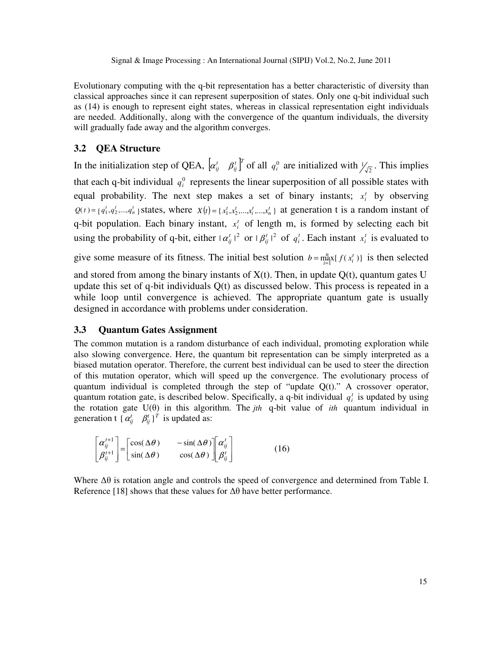Evolutionary computing with the q-bit representation has a better characteristic of diversity than classical approaches since it can represent superposition of states. Only one q-bit individual such as (14) is enough to represent eight states, whereas in classical representation eight individuals are needed. Additionally, along with the convergence of the quantum individuals, the diversity will gradually fade away and the algorithm converges.

#### **3.2 QEA Structure**

In the initialization step of QEA,  $\left[\alpha_{ij}^t \quad \beta_{ij}^t\right]^T$  of all  $q_i^0$  are initialized with  $\frac{1}{\sqrt{2}}$ . This implies that each q-bit individual  $q_i^0$  represents the linear superposition of all possible states with equal probability. The next step makes a set of binary instants;  $x_i^t$  by observing  $Q(t) = \{q_1^t, q_2^t, ..., q_n^t\}$  states, where  $X(t) = \{x_1^t, x_2^t, ..., x_n^t, ..., x_n^t\}$  at generation t is a random instant of q-bit population. Each binary instant,  $x_i^t$  of length m, is formed by selecting each bit using the probability of q-bit, either  $|\alpha_{ij}^t|^2$  or  $|\beta_{ij}^t|^2$  of  $q_i^t$ . Each instant  $x_i^t$  is evaluated to

give some measure of its fitness. The initial best solution  $b = \max_{i=1}^{m} \{f(x_i^t)\}\$ *t i n*  $b = \max_{i=1}^{n} \{f(x_i^t)\}\$ is then selected

and stored from among the binary instants of  $X(t)$ . Then, in update  $Q(t)$ , quantum gates U update this set of q-bit individuals Q(t) as discussed below. This process is repeated in a while loop until convergence is achieved. The appropriate quantum gate is usually designed in accordance with problems under consideration.

#### **3.3 Quantum Gates Assignment**

The common mutation is a random disturbance of each individual, promoting exploration while also slowing convergence. Here, the quantum bit representation can be simply interpreted as a biased mutation operator. Therefore, the current best individual can be used to steer the direction of this mutation operator, which will speed up the convergence. The evolutionary process of quantum individual is completed through the step of "update  $Q(t)$ ." A crossover operator, quantum rotation gate, is described below. Specifically, a q-bit individual  $q_i^t$  is updated by using the rotation gate U(θ) in this algorithm. The *jth* q-bit value of *ith* quantum individual in generation t  $\left[\alpha_{ij}^t \quad \beta_{ij}^t\right]^T$  is updated as:

$$
\begin{bmatrix} \alpha_{ij}^{t+1} \\ \beta_{ij}^{t+1} \end{bmatrix} = \begin{bmatrix} \cos(\Delta\theta) & -\sin(\Delta\theta) \\ \sin(\Delta\theta) & \cos(\Delta\theta) \end{bmatrix} \begin{bmatrix} \alpha_{ij}^t \\ \beta_{ij}^t \end{bmatrix}
$$
 (16)

Where ∆θ is rotation angle and controls the speed of convergence and determined from Table I. Reference [18] shows that these values for  $\Delta\theta$  have better performance.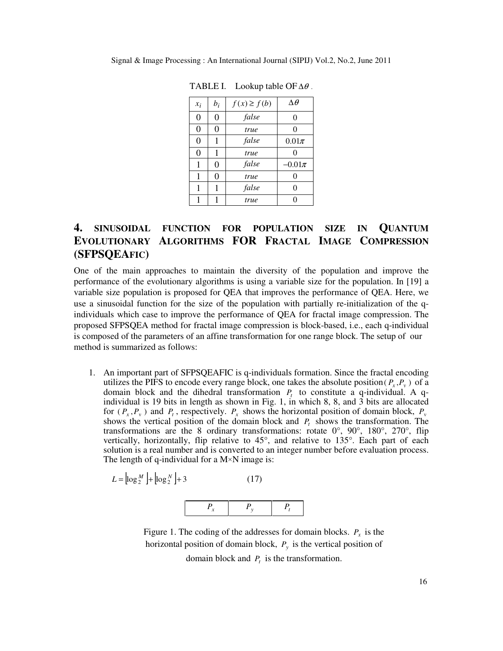| $x_i$    | $b_i$          | $f(x) \ge f(b)$ | $\Delta\theta$ |
|----------|----------------|-----------------|----------------|
| $\theta$ | $\overline{0}$ | false           | 0              |
| 0        | 0              | true            | 0              |
| 0        | 1              | false           | $0.01\pi$      |
| 0        | 1              | true            | 0              |
| 1        | 0              | false           | $-0.01\pi$     |
| 1        | 0              | true            | 0              |
| 1        | 1              | false           | 0              |
|          |                | true            | 0              |

TABLE I. Lookup table OF  $\Delta\theta$ .

# **4. SINUSOIDAL FUNCTION FOR POPULATION SIZE IN QUANTUM EVOLUTIONARY ALGORITHMS FOR FRACTAL IMAGE COMPRESSION (SFPSQEAFIC)**

One of the main approaches to maintain the diversity of the population and improve the performance of the evolutionary algorithms is using a variable size for the population. In [19] a variable size population is proposed for QEA that improves the performance of QEA. Here, we use a sinusoidal function for the size of the population with partially re-initialization of the qindividuals which case to improve the performance of QEA for fractal image compression. The proposed SFPSQEA method for fractal image compression is block-based, i.e., each q-individual is composed of the parameters of an affine transformation for one range block. The setup of our method is summarized as follows:

1. An important part of SFPSQEAFIC is q-individuals formation. Since the fractal encoding utilizes the PIFS to encode every range block, one takes the absolute position( $P_x$ , $P_y$ ) of a domain block and the dihedral transformation  $P_t$  to constitute a q-individual. A qindividual is 19 bits in length as shown in Fig. 1, in which 8, 8, and 3 bits are allocated for  $(P_x, P_y)$  and  $P_t$ , respectively.  $P_x$  shows the horizontal position of domain block,  $P_y$ shows the vertical position of the domain block and  $P_t$  shows the transformation. The transformations are the 8 ordinary transformations: rotate  $0^{\circ}$ ,  $90^{\circ}$ ,  $180^{\circ}$ ,  $270^{\circ}$ , flip vertically, horizontally, flip relative to 45°, and relative to 135°. Each part of each solution is a real number and is converted to an integer number before evaluation process. The length of q-individual for a  $M \times N$  image is:

$$
L = \left[ \log_2^M \right] + \left[ \log_2^N \right] + 3 \tag{17}
$$



Figure 1. The coding of the addresses for domain blocks.  $P_x$  is the horizontal position of domain block, *P<sup>y</sup>* is the vertical position of domain block and *P<sup>t</sup>* is the transformation.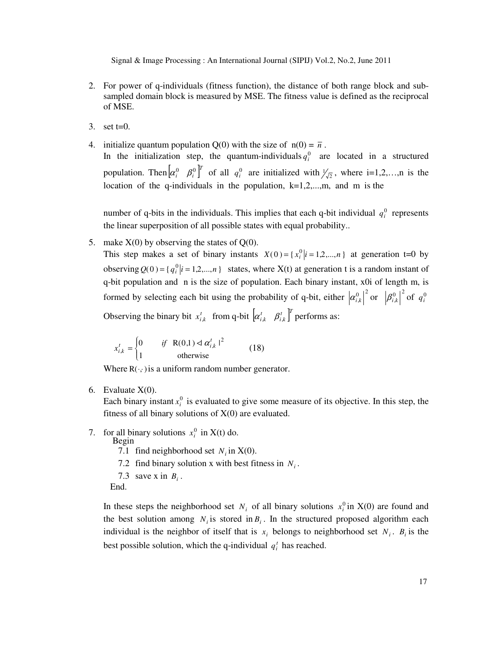- 2. For power of q-individuals (fitness function), the distance of both range block and subsampled domain block is measured by MSE. The fitness value is defined as the reciprocal of MSE.
- 3. set t=0.
- 4. initialize quantum population Q(0) with the size of  $n(0) = \overline{n}$ . In the initialization step, the quantum-individuals  $q_i^0$  are located in a structured population. Then  $\begin{bmatrix} \alpha_i^0 & \beta_i^0 \end{bmatrix}^T$  $\alpha_i^0$   $\beta_i^0$  f all  $q_i^0$  are initialized with  $\frac{1}{\sqrt{2}}$ , where i=1,2,...,n is the location of the q-individuals in the population,  $k=1,2,...,m$ , and m is the

number of q-bits in the individuals. This implies that each q-bit individual  $q_i^0$  represents the linear superposition of all possible states with equal probability..

5. make  $X(0)$  by observing the states of  $Q(0)$ .

This step makes a set of binary instants  $X(0) = \{ x_i^0 | i = 1, 2, ..., n \}$  at generation t=0 by observing  $Q(0) = \{q_i^0 | i = 1, 2, ..., n\}$  states, where  $X(t)$  at generation t is a random instant of q-bit population and n is the size of population. Each binary instant, x0i of length m, is formed by selecting each bit using the probability of q-bit, either  $\left| \alpha_{i,k}^0 \right|^2$  or  $\left| \beta_{i,k}^0 \right|^2$  of  $q_i^0$ Observing the binary bit  $x_{i,k}^t$  from q-bit  $\begin{bmatrix} \alpha_{i,k}^t & \beta_{i,k}^t \end{bmatrix}^T$  performs as:

$$
x_{i,k}^t = \begin{cases} 0 & \text{if } R(0,1) \le \alpha_{i,k}^t \mid^2 \\ 1 & \text{otherwise} \end{cases}
$$
 (18)

Where  $R(\cdot, \cdot)$  is a uniform random number generator.

6. Evaluate  $X(0)$ .

Each binary instant  $x_i^0$  is evaluated to give some measure of its objective. In this step, the fitness of all binary solutions of  $X(0)$  are evaluated.

- 7. for all binary solutions  $x_i^0$  in X(t) do.
	- Begin
		- 7.1 find neighborhood set  $N_i$  in  $X(0)$ .
		- 7.2 find binary solution x with best fitness in  $N_i$ .
		- 7.3 save x in  $B_i$ .
		- End.

In these steps the neighborhood set  $N_i$  of all binary solutions  $x_i^0$  in  $X(0)$  are found and the best solution among  $N_i$  is stored in  $B_i$ . In the structured proposed algorithm each individual is the neighbor of itself that is  $x_i$  belongs to neighborhood set  $N_i$ .  $B_i$  is the best possible solution, which the q-individual  $q_i^t$  has reached.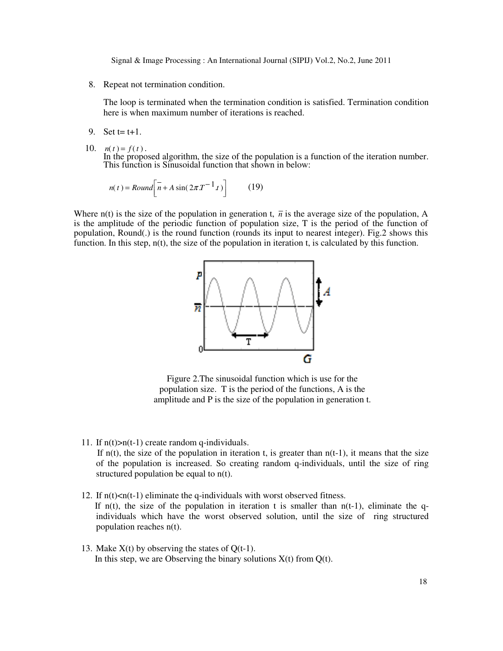8. Repeat not termination condition.

The loop is terminated when the termination condition is satisfied. Termination condition here is when maximum number of iterations is reached.

- 9. Set  $t = t + 1$ .
- 10.  $n(t) = f(t)$ .

In the proposed algorithm, the size of the population is a function of the iteration number. This function is Sinusoidal function that shown in below:

$$
n(t) = Round\left[\overline{n} + A\sin(2\pi T^{-1}t)\right]
$$
 (19)

Where  $n(t)$  is the size of the population in generation t,  $\bar{n}$  is the average size of the population, A is the amplitude of the periodic function of population size, T is the period of the function of population, Round(.) is the round function (rounds its input to nearest integer). Fig.2 shows this function. In this step,  $n(t)$ , the size of the population in iteration t, is calculated by this function.



Figure 2.The sinusoidal function which is use for the population size. T is the period of the functions, A is the amplitude and P is the size of the population in generation t.

11. If  $n(t) > n(t-1)$  create random q-individuals.

If  $n(t)$ , the size of the population in iteration t, is greater than  $n(t-1)$ , it means that the size of the population is increased. So creating random q-individuals, until the size of ring structured population be equal to n(t).

- 12. If  $n(t)$  <  $n(t-1)$  eliminate the q-individuals with worst observed fitness. If n(t), the size of the population in iteration t is smaller than  $n(t-1)$ , eliminate the qindividuals which have the worst observed solution, until the size of ring structured population reaches n(t).
- 13. Make  $X(t)$  by observing the states of  $Q(t-1)$ . In this step, we are Observing the binary solutions  $X(t)$  from  $Q(t)$ .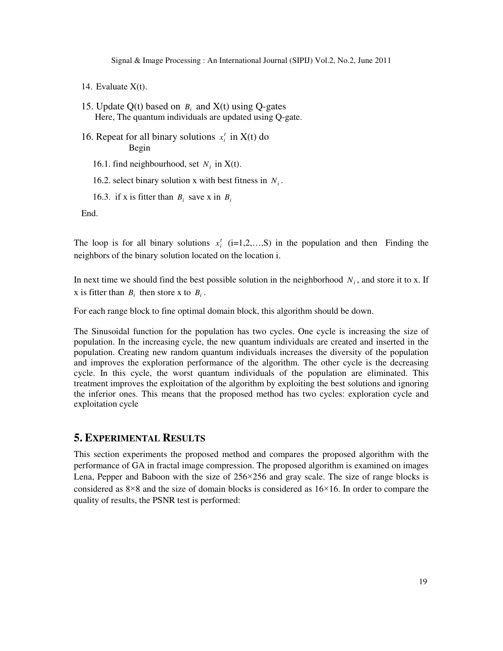14. Evaluate  $X(t)$ .

- 15. Update Q(t) based on  $B_i$  and X(t) using Q-gates Here, The quantum individuals are updated using Q-gate.
- 16. Repeat for all binary solutions  $x_i^t$  in  $X(t)$  do Begin

16.1. find neighbourhood, set  $N_i$  in X(t).

- 16.2. select binary solution x with best fitness in  $N_i$ .
- 16.3. if x is fitter than  $B_i$  save x in  $B_i$

End.

The loop is for all binary solutions  $x_i^t$  (i=1,2,...,S) in the population and then Finding the neighbors of the binary solution located on the location i.

In next time we should find the best possible solution in the neighborhood  $N_i$ , and store it to x. If x is fitter than  $B_i$  then store x to  $B_i$ .

For each range block to fine optimal domain block, this algorithm should be down.

The Sinusoidal function for the population has two cycles. One cycle is increasing the size of population. In the increasing cycle, the new quantum individuals are created and inserted in the population. Creating new random quantum individuals increases the diversity of the population and improves the exploration performance of the algorithm. The other cycle is the decreasing cycle. In this cycle, the worst quantum individuals of the population are eliminated. This treatment improves the exploitation of the algorithm by exploiting the best solutions and ignoring the inferior ones. This means that the proposed method has two cycles: exploration cycle and exploitation cycle

#### **5. EXPERIMENTAL RESULTS**

This section experiments the proposed method and compares the proposed algorithm with the performance of GA in fractal image compression. The proposed algorithm is examined on images Lena, Pepper and Baboon with the size of  $256 \times 256$  and gray scale. The size of range blocks is considered as  $8\times 8$  and the size of domain blocks is considered as  $16\times 16$ . In order to compare the quality of results, the PSNR test is performed: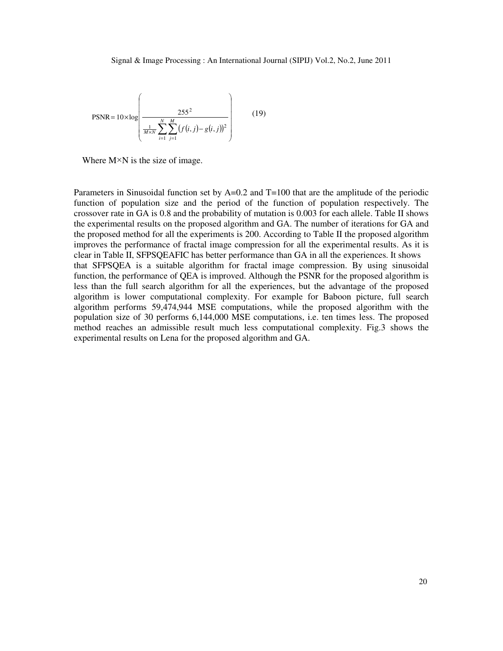$$
PSNR = 10 \times \log \left( \frac{255^2}{\frac{1}{M \times N} \sum_{i=1}^{N} \sum_{j=1}^{M} (f(i, j) - g(i, j))^2} \right) \tag{19}
$$

Where  $M \times N$  is the size of image.

Parameters in Sinusoidal function set by  $A=0.2$  and T=100 that are the amplitude of the periodic function of population size and the period of the function of population respectively. The crossover rate in GA is 0.8 and the probability of mutation is 0.003 for each allele. Table II shows the experimental results on the proposed algorithm and GA. The number of iterations for GA and the proposed method for all the experiments is 200. According to Table II the proposed algorithm improves the performance of fractal image compression for all the experimental results. As it is clear in Table II, SFPSQEAFIC has better performance than GA in all the experiences. It shows that SFPSQEA is a suitable algorithm for fractal image compression. By using sinusoidal function, the performance of QEA is improved. Although the PSNR for the proposed algorithm is less than the full search algorithm for all the experiences, but the advantage of the proposed algorithm is lower computational complexity. For example for Baboon picture, full search algorithm performs 59,474,944 MSE computations, while the proposed algorithm with the population size of 30 performs 6,144,000 MSE computations, i.e. ten times less. The proposed method reaches an admissible result much less computational complexity. Fig.3 shows the experimental results on Lena for the proposed algorithm and GA.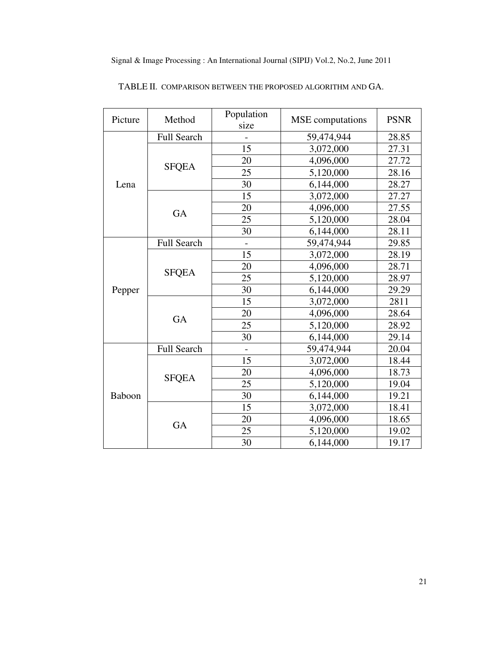| Picture | Method             | Population<br>size | <b>MSE</b> computations | <b>PSNR</b> |
|---------|--------------------|--------------------|-------------------------|-------------|
| Lena    | Full Search        |                    | 59,474,944              | 28.85       |
|         |                    | 15                 | 3,072,000               | 27.31       |
|         |                    | 20                 | 4,096,000               | 27.72       |
|         | <b>SFQEA</b>       | 25                 | 5,120,000               | 28.16       |
|         |                    | 30                 | 6,144,000               | 28.27       |
|         |                    | 15                 | 3,072,000               | 27.27       |
|         | GA                 | 20                 | 4,096,000               | 27.55       |
|         |                    | 25                 | 5,120,000               | 28.04       |
|         |                    | 30                 | 6,144,000               | 28.11       |
| Pepper  | Full Search        |                    | 59,474,944              | 29.85       |
|         |                    | 15                 | 3,072,000               | 28.19       |
|         |                    | 20                 | 4,096,000               | 28.71       |
|         | <b>SFQEA</b>       | 25                 | 5,120,000               | 28.97       |
|         |                    | 30                 | 6,144,000               | 29.29       |
|         |                    | 15                 | 3,072,000               | 2811        |
|         | GA                 | 20                 | 4,096,000               | 28.64       |
|         |                    | 25                 | 5,120,000               | 28.92       |
|         |                    | 30                 | 6,144,000               | 29.14       |
| Baboon  | <b>Full Search</b> |                    | 59,474,944              | 20.04       |
|         |                    | 15                 | 3,072,000               | 18.44       |
|         | <b>SFQEA</b>       | 20                 | 4,096,000               | 18.73       |
|         |                    | 25                 | 5,120,000               | 19.04       |
|         |                    | 30                 | 6,144,000               | 19.21       |
|         |                    | 15                 | 3,072,000               | 18.41       |
|         | GA                 | 20                 | 4,096,000               | 18.65       |
|         |                    | 25                 | 5,120,000               | 19.02       |
|         |                    | 30                 | 6,144,000               | 19.17       |

TABLE II. COMPARISON BETWEEN THE PROPOSED ALGORITHM AND GA.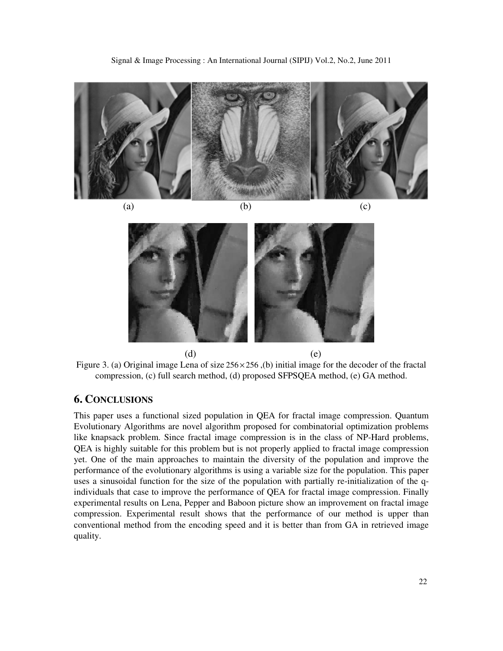

(a)  $(b)$   $(c)$ 





Figure 3. (a) Original image Lena of size 256 × 256 ,(b) initial image for the decoder of the fractal compression, (c) full search method, (d) proposed SFPSQEA method, (e) GA method.

## **6. CONCLUSIONS**

This paper uses a functional sized population in QEA for fractal image compression. Quantum Evolutionary Algorithms are novel algorithm proposed for combinatorial optimization problems like knapsack problem. Since fractal image compression is in the class of NP-Hard problems, QEA is highly suitable for this problem but is not properly applied to fractal image compression yet. One of the main approaches to maintain the diversity of the population and improve the performance of the evolutionary algorithms is using a variable size for the population. This paper uses a sinusoidal function for the size of the population with partially re-initialization of the qindividuals that case to improve the performance of QEA for fractal image compression. Finally experimental results on Lena, Pepper and Baboon picture show an improvement on fractal image compression. Experimental result shows that the performance of our method is upper than conventional method from the encoding speed and it is better than from GA in retrieved image quality.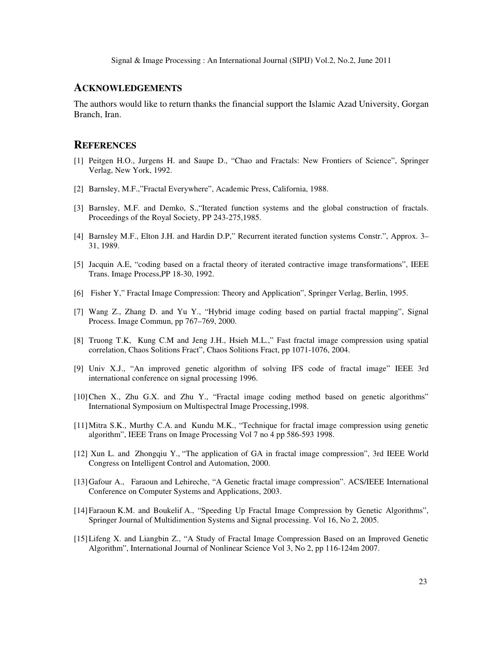#### **ACKNOWLEDGEMENTS**

The authors would like to return thanks the financial support the Islamic Azad University, Gorgan Branch, Iran.

#### **REFERENCES**

- [1] Peitgen H.O., Jurgens H. and Saupe D., "Chao and Fractals: New Frontiers of Science", Springer Verlag, New York, 1992.
- [2] Barnsley, M.F.,"Fractal Everywhere", Academic Press, California, 1988.
- [3] Barnsley, M.F. and Demko, S.,"Iterated function systems and the global construction of fractals. Proceedings of the Royal Society, PP 243-275,1985.
- [4] Barnsley M.F., Elton J.H. and Hardin D.P," Recurrent iterated function systems Constr.", Approx. 3– 31, 1989.
- [5] Jacquin A.E, "coding based on a fractal theory of iterated contractive image transformations", IEEE Trans. Image Process,PP 18-30, 1992.
- [6] Fisher Y," Fractal Image Compression: Theory and Application", Springer Verlag, Berlin, 1995.
- [7] Wang Z., Zhang D. and Yu Y., "Hybrid image coding based on partial fractal mapping", Signal Process. Image Commun, pp 767–769, 2000.
- [8] Truong T.K, Kung C.M and Jeng J.H., Hsieh M.L.," Fast fractal image compression using spatial correlation, Chaos Solitions Fract", Chaos Solitions Fract, pp 1071-1076, 2004.
- [9] Univ X.J., "An improved genetic algorithm of solving IFS code of fractal image" IEEE 3rd international conference on signal processing 1996.
- [10]Chen X., Zhu G.X. and Zhu Y., "Fractal image coding method based on genetic algorithms" International Symposium on Multispectral Image Processing,1998.
- [11]Mitra S.K., Murthy C.A. and Kundu M.K., "Technique for fractal image compression using genetic algorithm", IEEE Trans on Image Processing Vol 7 no 4 pp 586-593 1998.
- [12] Xun L. and Zhongqiu Y., "The application of GA in fractal image compression", 3rd IEEE World Congress on Intelligent Control and Automation, 2000.
- [13]Gafour A., Faraoun and Lehireche, "A Genetic fractal image compression". ACS/IEEE International Conference on Computer Systems and Applications, 2003.
- [14]Faraoun K.M. and Boukelif A., "Speeding Up Fractal Image Compression by Genetic Algorithms", Springer Journal of Multidimention Systems and Signal processing. Vol 16, No 2, 2005.
- [15]Lifeng X. and Liangbin Z., "A Study of Fractal Image Compression Based on an Improved Genetic Algorithm", International Journal of Nonlinear Science Vol 3, No 2, pp 116-124m 2007.